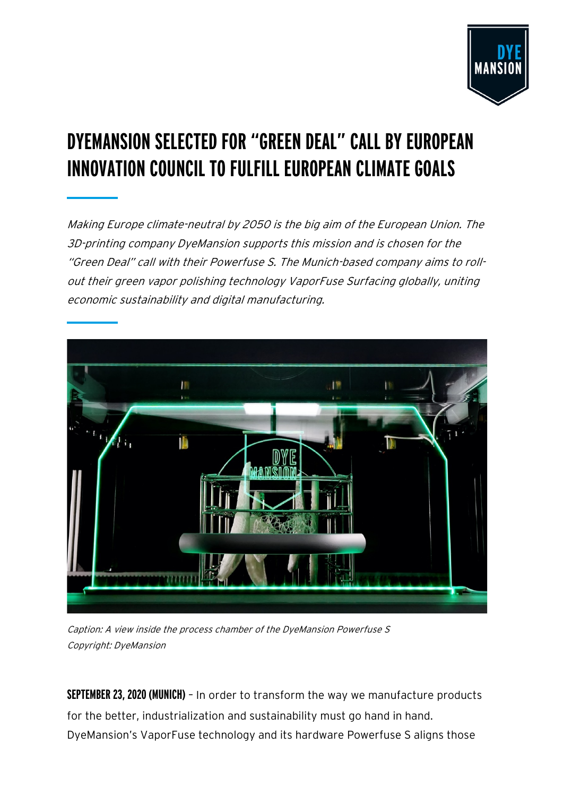

# **DYEMANSION SELECTED FOR "GREEN DEAL" CALL BY EUROPEAN INNOVATION COUNCIL TO FULFILL EUROPEAN CLIMATE GOALS**

Making Europe climate-neutral by 2050 is the big aim of the European Union. The 3D-printing company DyeMansion supports this mission and is chosen for the "Green Deal" call with their Powerfuse S. The Munich-based company aims to rollout their green vapor polishing technology VaporFuse Surfacing globally, uniting economic sustainability and digital manufacturing.



Caption: A view inside the process chamber of the DyeMansion Powerfuse S Copyright: DyeMansion

**SEPTEMBER 23, 2020 (MUNICH)** – In order to transform the way we manufacture products for the better, industrialization and sustainability must go hand in hand. DyeMansion's VaporFuse technology and its hardware Powerfuse S aligns those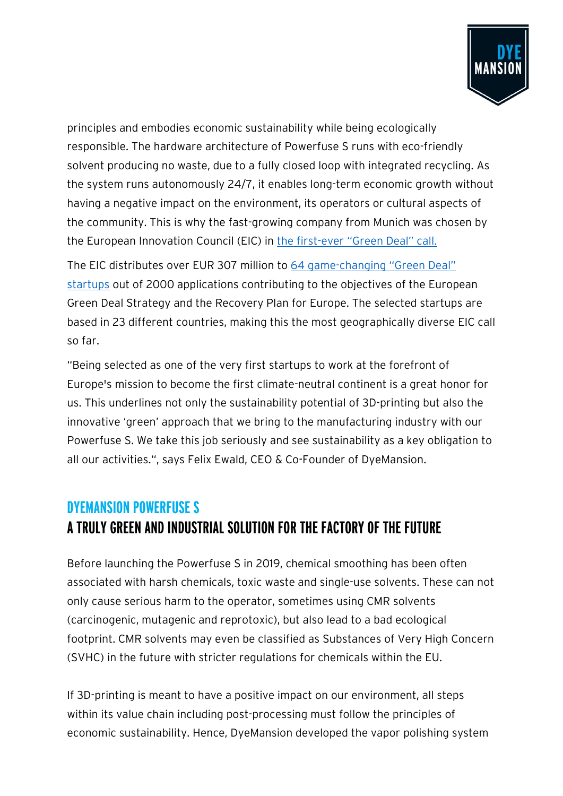

principles and embodies economic sustainability while being ecologically responsible. The hardware architecture of Powerfuse S runs with eco-friendly solvent producing no waste, due to a fully closed loop with integrated recycling. As the system runs autonomously 24/7, it enables long-term economic growth without having a negative impact on the environment, its operators or cultural aspects of the community. This is why the fast-growing company from Munich was chosen by the European Innovation Council (EIC) in [the first-ever "Green Deal" call.](https://ec.europa.eu/info/news/first-green-deal-funding-european-innovation-council-awards-over-eu307-million-64-startups-set-support-recovery-plan-europe-2020-jul-23_en)

The EIC distributes over EUR 307 million to [64 game-changing "Green Deal"](https://ec.europa.eu/info/funding-tenders/opportunities/docs/cap/h2020/eic-smeinst-2018-2020/1900113-eic_list_for_public_accelerator_19_may_2020_en.pdf)  [startups](https://ec.europa.eu/info/funding-tenders/opportunities/docs/cap/h2020/eic-smeinst-2018-2020/1900113-eic_list_for_public_accelerator_19_may_2020_en.pdf) out of 2000 applications contributing to the objectives of the European Green Deal Strategy and the Recovery Plan for Europe. The selected startups are based in 23 different countries, making this the most geographically diverse EIC call so far.

"Being selected as one of the very first startups to work at the forefront of Europe's mission to become the first climate-neutral continent is a great honor for us. This underlines not only the sustainability potential of 3D-printing but also the innovative 'green' approach that we bring to the manufacturing industry with our Powerfuse S. We take this job seriously and see sustainability as a key obligation to all our activities.", says Felix Ewald, CEO & Co-Founder of DyeMansion.

### **DYEMANSION POWERFUSE S A TRULY GREEN AND INDUSTRIAL SOLUTION FOR THE FACTORY OF THE FUTURE**

Before launching the Powerfuse S in 2019, chemical smoothing has been often associated with harsh chemicals, toxic waste and single-use solvents. These can not only cause serious harm to the operator, sometimes using CMR solvents (carcinogenic, mutagenic and reprotoxic), but also lead to a bad ecological footprint. CMR solvents may even be classified as Substances of Very High Concern (SVHC) in the future with stricter regulations for chemicals within the EU.

If 3D-printing is meant to have a positive impact on our environment, all steps within its value chain including post-processing must follow the principles of economic sustainability. Hence, DyeMansion developed the vapor polishing system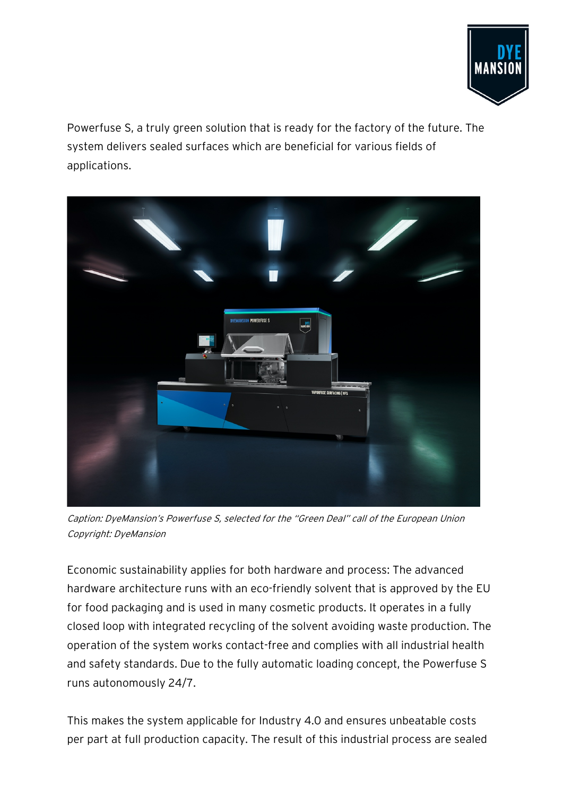

Powerfuse S, a truly green solution that is ready for the factory of the future. The system delivers sealed surfaces which are beneficial for various fields of applications.



Caption: DyeMansion's Powerfuse S, selected for the "Green Deal" call of the European Union Copyright: DyeMansion

Economic sustainability applies for both hardware and process: The advanced hardware architecture runs with an eco-friendly solvent that is approved by the EU for food packaging and is used in many cosmetic products. It operates in a fully closed loop with integrated recycling of the solvent avoiding waste production. The operation of the system works contact-free and complies with all industrial health and safety standards. Due to the fully automatic loading concept, the Powerfuse S runs autonomously 24/7.

This makes the system applicable for Industry 4.0 and ensures unbeatable costs per part at full production capacity. The result of this industrial process are sealed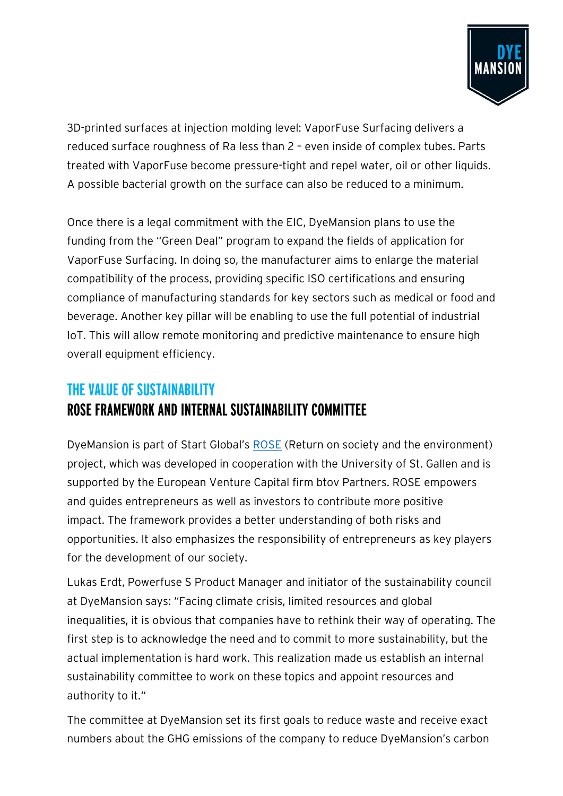

3D-printed surfaces at injection molding level: VaporFuse Surfacing delivers a reduced surface roughness of Ra less than 2 – even inside of complex tubes. Parts treated with VaporFuse become pressure-tight and repel water, oil or other liquids. A possible bacterial growth on the surface can also be reduced to a minimum.

Once there is a legal commitment with the EIC, DyeMansion plans to use the funding from the "Green Deal" program to expand the fields of application for VaporFuse Surfacing. In doing so, the manufacturer aims to enlarge the material compatibility of the process, providing specific ISO certifications and ensuring compliance of manufacturing standards for key sectors such as medical or food and beverage. Another key pillar will be enabling to use the full potential of industrial IoT. This will allow remote monitoring and predictive maintenance to ensure high overall equipment efficiency.

# **THE VALUE OF SUSTAINABILITY ROSE FRAMEWORK AND INTERNAL SUSTAINABILITY COMMITTEE**

DyeMansion is part of Start Global's [ROSE](https://startglobal.org/ei/project) (Return on society and the environment) project, which was developed in cooperation with the University of St. Gallen and is supported by the European Venture Capital firm btov Partners. ROSE empowers and guides entrepreneurs as well as investors to contribute more positive impact. The framework provides a better understanding of both risks and opportunities. It also emphasizes the responsibility of entrepreneurs as key players for the development of our society.

Lukas Erdt, Powerfuse S Product Manager and initiator of the sustainability council at DyeMansion says: "Facing climate crisis, limited resources and global inequalities, it is obvious that companies have to rethink their way of operating. The first step is to acknowledge the need and to commit to more sustainability, but the actual implementation is hard work. This realization made us establish an internal sustainability committee to work on these topics and appoint resources and authority to it."

The committee at DyeMansion set its first goals to reduce waste and receive exact numbers about the GHG emissions of the company to reduce DyeMansion's carbon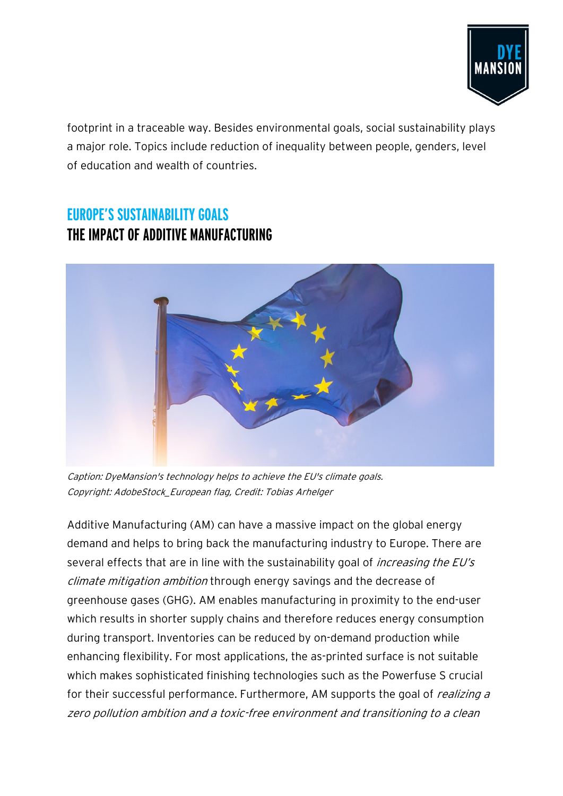

footprint in a traceable way. Besides environmental goals, social sustainability plays a major role. Topics include reduction of inequality between people, genders, level of education and wealth of countries.

## **EUROPE'S SUSTAINABILITY GOALS THE IMPACT OF ADDITIVE MANUFACTURING**



Caption: DyeMansion's technology helps to achieve the EU's climate goals. Copyright: AdobeStock\_European flag, Credit: Tobias Arhelger

Additive Manufacturing (AM) can have a massive impact on the global energy demand and helps to bring back the manufacturing industry to Europe. There are several effects that are in line with the sustainability goal of *increasing the EU's* climate mitigation ambition through energy savings and the decrease of greenhouse gases (GHG). AM enables manufacturing in proximity to the end-user which results in shorter supply chains and therefore reduces energy consumption during transport. Inventories can be reduced by on-demand production while enhancing flexibility. For most applications, the as-printed surface is not suitable which makes sophisticated finishing technologies such as the Powerfuse S crucial for their successful performance. Furthermore, AM supports the goal of *realizing a* zero pollution ambition and a toxic-free environment and transitioning to a clean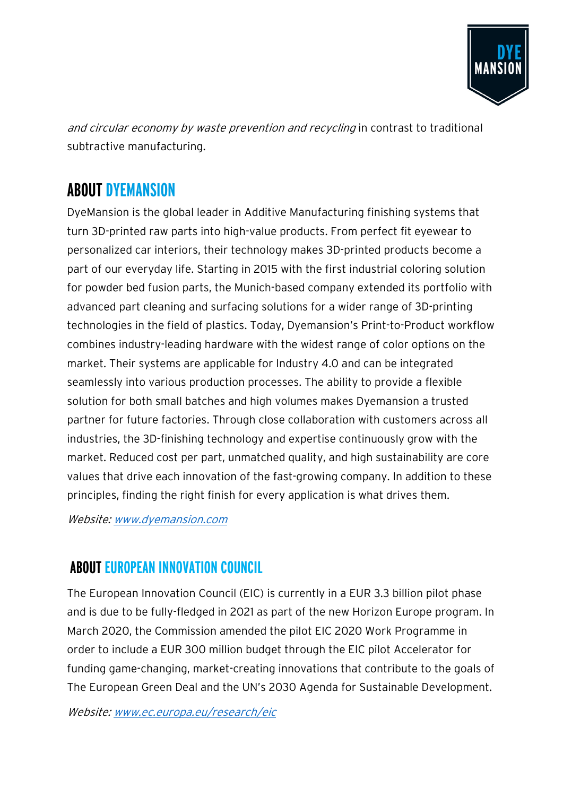

and circular economy by waste prevention and recycling in contrast to traditional subtractive manufacturing.

# **ABOUT DYEMANSION**

DyeMansion is the global leader in Additive Manufacturing finishing systems that turn 3D-printed raw parts into high-value products. From perfect fit eyewear to personalized car interiors, their technology makes 3D-printed products become a part of our everyday life. Starting in 2015 with the first industrial coloring solution for powder bed fusion parts, the Munich-based company extended its portfolio with advanced part cleaning and surfacing solutions for a wider range of 3D-printing technologies in the field of plastics. Today, Dyemansion's Print-to-Product workflow combines industry-leading hardware with the widest range of color options on the market. Their systems are applicable for Industry 4.0 and can be integrated seamlessly into various production processes. The ability to provide a flexible solution for both small batches and high volumes makes Dyemansion a trusted partner for future factories. Through close collaboration with customers across all industries, the 3D-finishing technology and expertise continuously grow with the market. Reduced cost per part, unmatched quality, and high sustainability are core values that drive each innovation of the fast-growing company. In addition to these principles, finding the right finish for every application is what drives them.

Website[: www.dyemansion.com](http://www.dyemansion.com/)

#### **ABOUT EUROPEAN INNOVATION COUNCIL**

The European Innovation Council (EIC) is currently in a EUR 3.3 billion pilot phase and is due to be fully-fledged in 2021 as part of the new Horizon Europe program. In March 2020, the Commission amended the pilot EIC 2020 Work Programme in order to include a EUR 300 million budget through the EIC pilot Accelerator for funding game-changing, market-creating innovations that contribute to the goals of The European Green Deal and the UN's 2030 Agenda for Sustainable Development.

Website[: www.ec.europa.eu/research/eic](http://www.ec.europa.eu/research/eic/index.cfm)